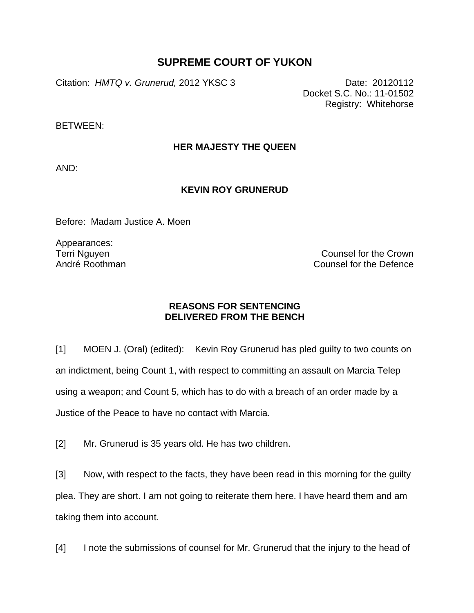## **SUPREME COURT OF YUKON**

Citation: *HMTQ v. Grunerud,* 2012 YKSC 3 Date: 20120112

Docket S.C. No.: 11-01502 Registry: Whitehorse

BETWEEN:

## **HER MAJESTY THE QUEEN**

AND:

## **KEVIN ROY GRUNERUD**

Before: Madam Justice A. Moen

Appearances: Terri Nguyen André Roothman

Counsel for the Crown Counsel for the Defence

## **REASONS FOR SENTENCING DELIVERED FROM THE BENCH**

[1] MOEN J. (Oral) (edited): Kevin Roy Grunerud has pled guilty to two counts on an indictment, being Count 1, with respect to committing an assault on Marcia Telep using a weapon; and Count 5, which has to do with a breach of an order made by a Justice of the Peace to have no contact with Marcia.

[2] Mr. Grunerud is 35 years old. He has two children.

[3] Now, with respect to the facts, they have been read in this morning for the guilty plea. They are short. I am not going to reiterate them here. I have heard them and am taking them into account.

[4] I note the submissions of counsel for Mr. Grunerud that the injury to the head of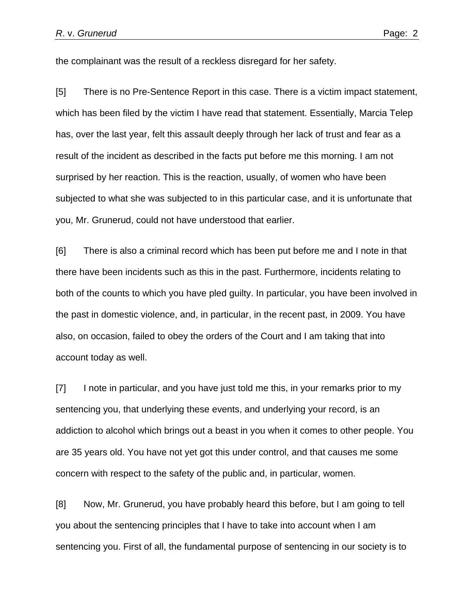the complainant was the result of a reckless disregard for her safety.

[5] There is no Pre-Sentence Report in this case. There is a victim impact statement, which has been filed by the victim I have read that statement. Essentially, Marcia Telep has, over the last year, felt this assault deeply through her lack of trust and fear as a result of the incident as described in the facts put before me this morning. I am not surprised by her reaction. This is the reaction, usually, of women who have been subjected to what she was subjected to in this particular case, and it is unfortunate that you, Mr. Grunerud, could not have understood that earlier.

[6] There is also a criminal record which has been put before me and I note in that there have been incidents such as this in the past. Furthermore, incidents relating to both of the counts to which you have pled guilty. In particular, you have been involved in the past in domestic violence, and, in particular, in the recent past, in 2009. You have also, on occasion, failed to obey the orders of the Court and I am taking that into account today as well.

[7] I note in particular, and you have just told me this, in your remarks prior to my sentencing you, that underlying these events, and underlying your record, is an addiction to alcohol which brings out a beast in you when it comes to other people. You are 35 years old. You have not yet got this under control, and that causes me some concern with respect to the safety of the public and, in particular, women.

[8] Now, Mr. Grunerud, you have probably heard this before, but I am going to tell you about the sentencing principles that I have to take into account when I am sentencing you. First of all, the fundamental purpose of sentencing in our society is to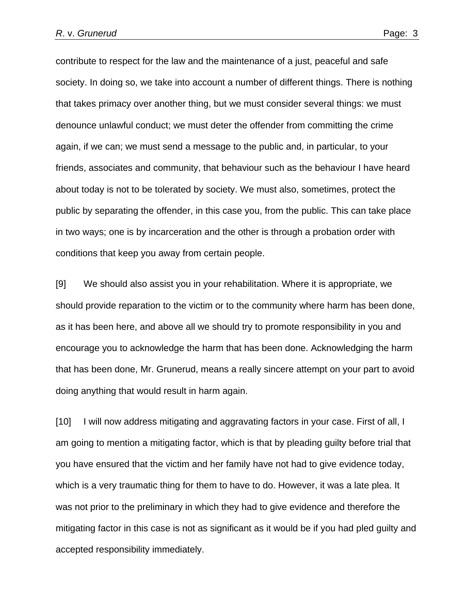contribute to respect for the law and the maintenance of a just, peaceful and safe society. In doing so, we take into account a number of different things. There is nothing that takes primacy over another thing, but we must consider several things: we must denounce unlawful conduct; we must deter the offender from committing the crime again, if we can; we must send a message to the public and, in particular, to your friends, associates and community, that behaviour such as the behaviour I have heard about today is not to be tolerated by society. We must also, sometimes, protect the public by separating the offender, in this case you, from the public. This can take place in two ways; one is by incarceration and the other is through a probation order with conditions that keep you away from certain people.

[9] We should also assist you in your rehabilitation. Where it is appropriate, we should provide reparation to the victim or to the community where harm has been done, as it has been here, and above all we should try to promote responsibility in you and encourage you to acknowledge the harm that has been done. Acknowledging the harm that has been done, Mr. Grunerud, means a really sincere attempt on your part to avoid doing anything that would result in harm again.

[10] I will now address mitigating and aggravating factors in your case. First of all, I am going to mention a mitigating factor, which is that by pleading guilty before trial that you have ensured that the victim and her family have not had to give evidence today, which is a very traumatic thing for them to have to do. However, it was a late plea. It was not prior to the preliminary in which they had to give evidence and therefore the mitigating factor in this case is not as significant as it would be if you had pled guilty and accepted responsibility immediately.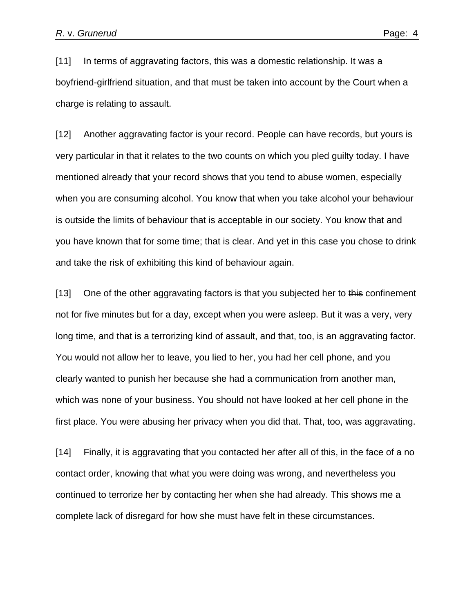[11] In terms of aggravating factors, this was a domestic relationship. It was a boyfriend-girlfriend situation, and that must be taken into account by the Court when a charge is relating to assault.

[12] Another aggravating factor is your record. People can have records, but yours is very particular in that it relates to the two counts on which you pled guilty today. I have mentioned already that your record shows that you tend to abuse women, especially when you are consuming alcohol. You know that when you take alcohol your behaviour is outside the limits of behaviour that is acceptable in our society. You know that and you have known that for some time; that is clear. And yet in this case you chose to drink and take the risk of exhibiting this kind of behaviour again.

[13] One of the other aggravating factors is that you subjected her to this confinement not for five minutes but for a day, except when you were asleep. But it was a very, very long time, and that is a terrorizing kind of assault, and that, too, is an aggravating factor. You would not allow her to leave, you lied to her, you had her cell phone, and you clearly wanted to punish her because she had a communication from another man, which was none of your business. You should not have looked at her cell phone in the first place. You were abusing her privacy when you did that. That, too, was aggravating.

[14] Finally, it is aggravating that you contacted her after all of this, in the face of a no contact order, knowing that what you were doing was wrong, and nevertheless you continued to terrorize her by contacting her when she had already. This shows me a complete lack of disregard for how she must have felt in these circumstances.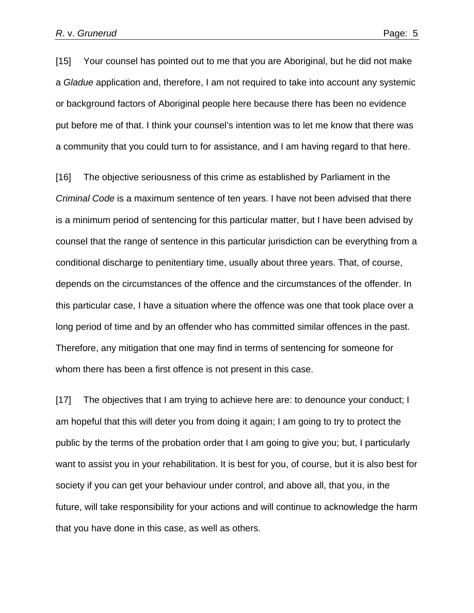[15] Your counsel has pointed out to me that you are Aboriginal, but he did not make a *Gladue* application and, therefore, I am not required to take into account any systemic or background factors of Aboriginal people here because there has been no evidence put before me of that. I think your counsel's intention was to let me know that there was a community that you could turn to for assistance, and I am having regard to that here.

[16] The objective seriousness of this crime as established by Parliament in the *Criminal Code* is a maximum sentence of ten years. I have not been advised that there is a minimum period of sentencing for this particular matter, but I have been advised by counsel that the range of sentence in this particular jurisdiction can be everything from a conditional discharge to penitentiary time, usually about three years. That, of course, depends on the circumstances of the offence and the circumstances of the offender. In this particular case, I have a situation where the offence was one that took place over a long period of time and by an offender who has committed similar offences in the past. Therefore, any mitigation that one may find in terms of sentencing for someone for whom there has been a first offence is not present in this case.

[17] The objectives that I am trying to achieve here are: to denounce your conduct; I am hopeful that this will deter you from doing it again; I am going to try to protect the public by the terms of the probation order that I am going to give you; but, I particularly want to assist you in your rehabilitation. It is best for you, of course, but it is also best for society if you can get your behaviour under control, and above all, that you, in the future, will take responsibility for your actions and will continue to acknowledge the harm that you have done in this case, as well as others.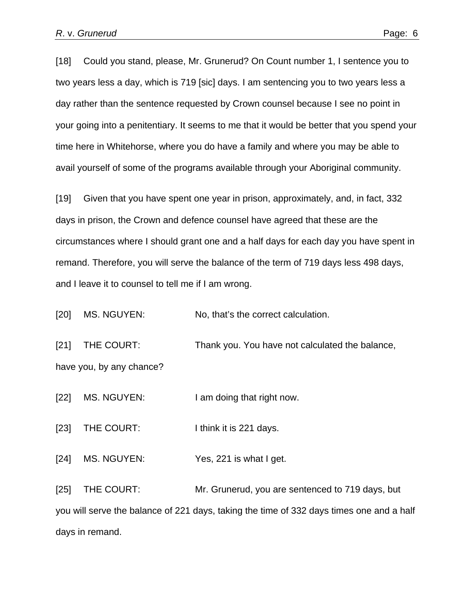[18] Could you stand, please, Mr. Grunerud? On Count number 1, I sentence you to two years less a day, which is 719 [sic] days. I am sentencing you to two years less a day rather than the sentence requested by Crown counsel because I see no point in your going into a penitentiary. It seems to me that it would be better that you spend your time here in Whitehorse, where you do have a family and where you may be able to avail yourself of some of the programs available through your Aboriginal community.

[19] Given that you have spent one year in prison, approximately, and, in fact, 332 days in prison, the Crown and defence counsel have agreed that these are the circumstances where I should grant one and a half days for each day you have spent in remand. Therefore, you will serve the balance of the term of 719 days less 498 days, and I leave it to counsel to tell me if I am wrong.

[20] MS. NGUYEN: No, that's the correct calculation.

[21] THE COURT: Thank you. You have not calculated the balance, have you, by any chance?

[22] MS. NGUYEN: I am doing that right now.

[23] THE COURT: I think it is 221 days.

[24] MS. NGUYEN: Yes, 221 is what I get.

[25] THE COURT: Mr. Grunerud, you are sentenced to 719 days, but you will serve the balance of 221 days, taking the time of 332 days times one and a half days in remand.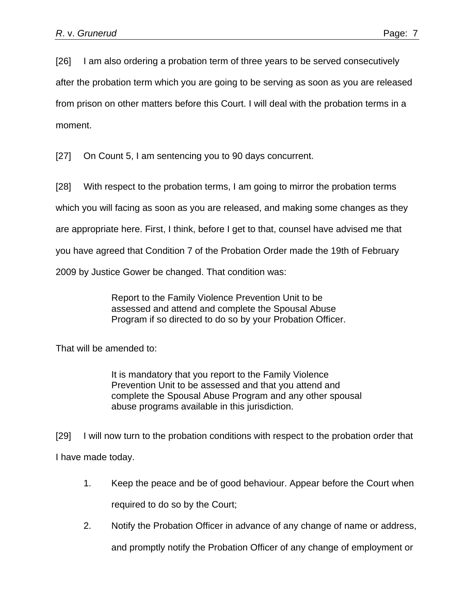[26] I am also ordering a probation term of three years to be served consecutively after the probation term which you are going to be serving as soon as you are released from prison on other matters before this Court. I will deal with the probation terms in a moment.

[27] On Count 5, I am sentencing you to 90 days concurrent.

[28] With respect to the probation terms, I am going to mirror the probation terms

which you will facing as soon as you are released, and making some changes as they

are appropriate here. First, I think, before I get to that, counsel have advised me that

you have agreed that Condition 7 of the Probation Order made the 19th of February

2009 by Justice Gower be changed. That condition was:

Report to the Family Violence Prevention Unit to be assessed and attend and complete the Spousal Abuse Program if so directed to do so by your Probation Officer.

That will be amended to:

It is mandatory that you report to the Family Violence Prevention Unit to be assessed and that you attend and complete the Spousal Abuse Program and any other spousal abuse programs available in this jurisdiction.

[29] I will now turn to the probation conditions with respect to the probation order that I have made today.

- 1. Keep the peace and be of good behaviour. Appear before the Court when required to do so by the Court;
- 2. Notify the Probation Officer in advance of any change of name or address,

and promptly notify the Probation Officer of any change of employment or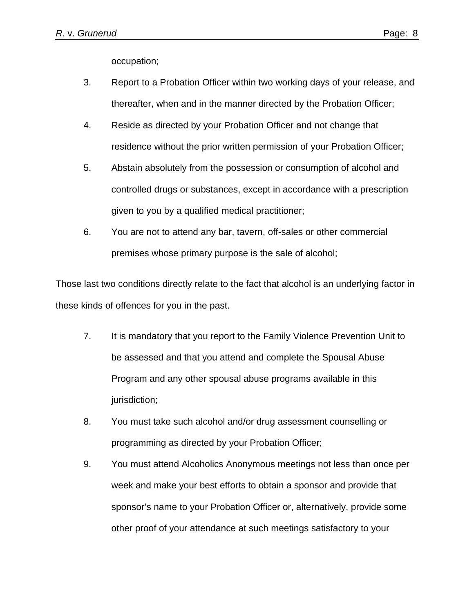occupation;

- 3. Report to a Probation Officer within two working days of your release, and thereafter, when and in the manner directed by the Probation Officer;
- 4. Reside as directed by your Probation Officer and not change that residence without the prior written permission of your Probation Officer;
- 5. Abstain absolutely from the possession or consumption of alcohol and controlled drugs or substances, except in accordance with a prescription given to you by a qualified medical practitioner;
- 6. You are not to attend any bar, tavern, off-sales or other commercial premises whose primary purpose is the sale of alcohol;

Those last two conditions directly relate to the fact that alcohol is an underlying factor in these kinds of offences for you in the past.

- 7. It is mandatory that you report to the Family Violence Prevention Unit to be assessed and that you attend and complete the Spousal Abuse Program and any other spousal abuse programs available in this jurisdiction;
- 8. You must take such alcohol and/or drug assessment counselling or programming as directed by your Probation Officer;
- 9. You must attend Alcoholics Anonymous meetings not less than once per week and make your best efforts to obtain a sponsor and provide that sponsor's name to your Probation Officer or, alternatively, provide some other proof of your attendance at such meetings satisfactory to your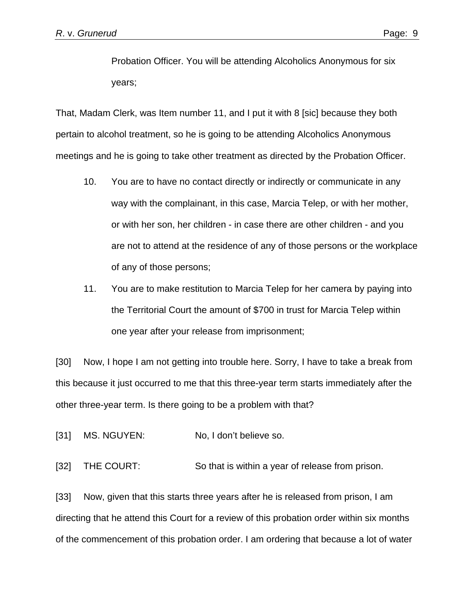Probation Officer. You will be attending Alcoholics Anonymous for six years;

That, Madam Clerk, was Item number 11, and I put it with 8 [sic] because they both pertain to alcohol treatment, so he is going to be attending Alcoholics Anonymous meetings and he is going to take other treatment as directed by the Probation Officer.

- 10. You are to have no contact directly or indirectly or communicate in any way with the complainant, in this case, Marcia Telep, or with her mother, or with her son, her children - in case there are other children - and you are not to attend at the residence of any of those persons or the workplace of any of those persons;
- 11. You are to make restitution to Marcia Telep for her camera by paying into the Territorial Court the amount of \$700 in trust for Marcia Telep within one year after your release from imprisonment;

[30] Now, I hope I am not getting into trouble here. Sorry, I have to take a break from this because it just occurred to me that this three-year term starts immediately after the other three-year term. Is there going to be a problem with that?

[31] MS. NGUYEN: No, I don't believe so.

[32] THE COURT: So that is within a year of release from prison.

[33] Now, given that this starts three years after he is released from prison, I am directing that he attend this Court for a review of this probation order within six months of the commencement of this probation order. I am ordering that because a lot of water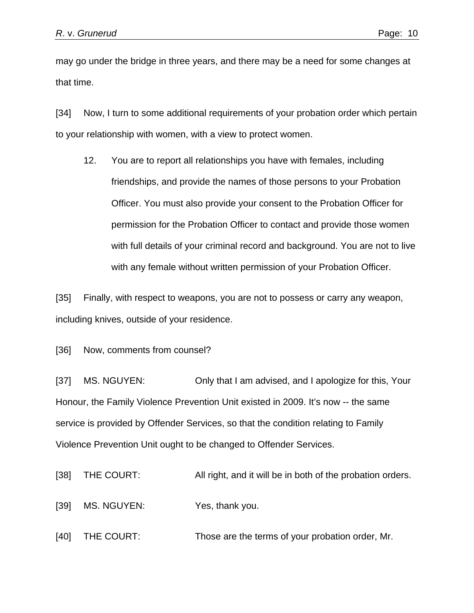may go under the bridge in three years, and there may be a need for some changes at that time.

[34] Now, I turn to some additional requirements of your probation order which pertain to your relationship with women, with a view to protect women.

12. You are to report all relationships you have with females, including friendships, and provide the names of those persons to your Probation Officer. You must also provide your consent to the Probation Officer for permission for the Probation Officer to contact and provide those women with full details of your criminal record and background. You are not to live with any female without written permission of your Probation Officer.

[35] Finally, with respect to weapons, you are not to possess or carry any weapon, including knives, outside of your residence.

[36] Now, comments from counsel?

[37] MS. NGUYEN: Only that I am advised, and I apologize for this, Your Honour, the Family Violence Prevention Unit existed in 2009. It's now -- the same service is provided by Offender Services, so that the condition relating to Family Violence Prevention Unit ought to be changed to Offender Services.

[38] THE COURT: All right, and it will be in both of the probation orders.

[39] MS. NGUYEN: Yes, thank you.

[40] THE COURT: Those are the terms of your probation order, Mr.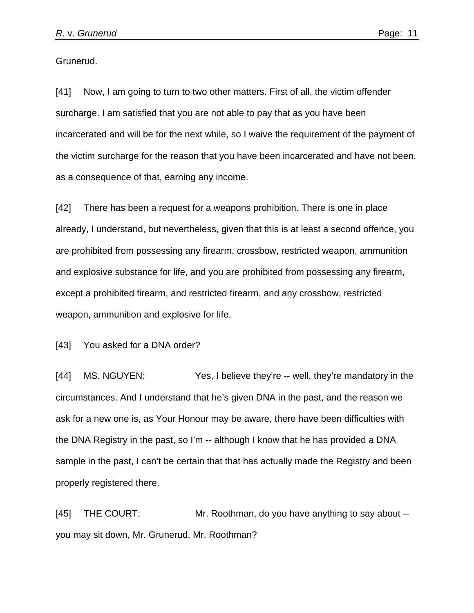Grunerud.

[41] Now, I am going to turn to two other matters. First of all, the victim offender surcharge. I am satisfied that you are not able to pay that as you have been incarcerated and will be for the next while, so I waive the requirement of the payment of the victim surcharge for the reason that you have been incarcerated and have not been, as a consequence of that, earning any income.

[42] There has been a request for a weapons prohibition. There is one in place already, I understand, but nevertheless, given that this is at least a second offence, you are prohibited from possessing any firearm, crossbow, restricted weapon, ammunition and explosive substance for life, and you are prohibited from possessing any firearm, except a prohibited firearm, and restricted firearm, and any crossbow, restricted weapon, ammunition and explosive for life.

[43] You asked for a DNA order?

[44] MS. NGUYEN: Yes, I believe they're -- well, they're mandatory in the circumstances. And I understand that he's given DNA in the past, and the reason we ask for a new one is, as Your Honour may be aware, there have been difficulties with the DNA Registry in the past, so I'm -- although I know that he has provided a DNA sample in the past, I can't be certain that that has actually made the Registry and been properly registered there.

[45] THE COURT: Mr. Roothman, do you have anything to say about - you may sit down, Mr. Grunerud. Mr. Roothman?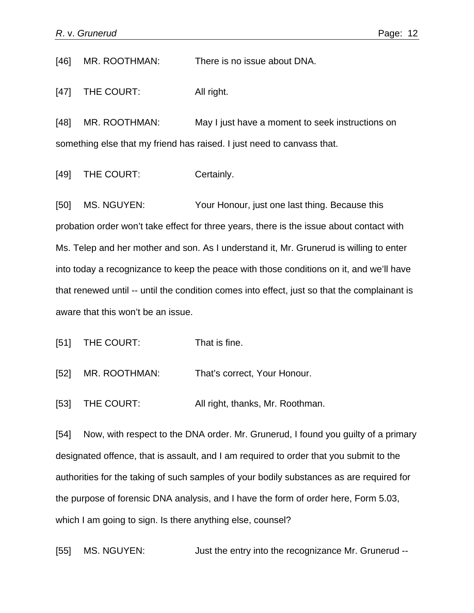[46] MR. ROOTHMAN: There is no issue about DNA.

[47] THE COURT: All right.

[48] MR. ROOTHMAN: May I just have a moment to seek instructions on something else that my friend has raised. I just need to canvass that.

[49] THE COURT: Certainly.

[50] MS. NGUYEN: Your Honour, just one last thing. Because this probation order won't take effect for three years, there is the issue about contact with Ms. Telep and her mother and son. As I understand it, Mr. Grunerud is willing to enter into today a recognizance to keep the peace with those conditions on it, and we'll have that renewed until -- until the condition comes into effect, just so that the complainant is aware that this won't be an issue.

[51] THE COURT: That is fine.

[52] MR. ROOTHMAN: That's correct, Your Honour.

[53] THE COURT: All right, thanks, Mr. Roothman.

[54] Now, with respect to the DNA order. Mr. Grunerud, I found you guilty of a primary designated offence, that is assault, and I am required to order that you submit to the authorities for the taking of such samples of your bodily substances as are required for the purpose of forensic DNA analysis, and I have the form of order here, Form 5.03, which I am going to sign. Is there anything else, counsel?

[55] MS. NGUYEN: Just the entry into the recognizance Mr. Grunerud --